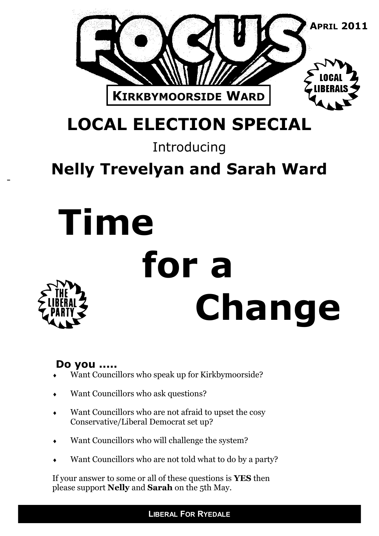

# **LOCAL ELECTION SPECIAL**

### Introducing

### **Nelly Trevelyan and Sarah Ward**

# **Time for a Change**

### **Do you .....**

- Want Councillors who speak up for Kirkbymoorside?
- Want Councillors who ask questions?
- Want Councillors who are not afraid to upset the cosy Conservative/Liberal Democrat set up?
- Want Councillors who will challenge the system?
- Want Councillors who are not told what to do by a party?

If your answer to some or all of these questions is **YES** then please support **Nelly** and **Sarah** on the 5th May.

**LIBERAL FOR RYEDALE**